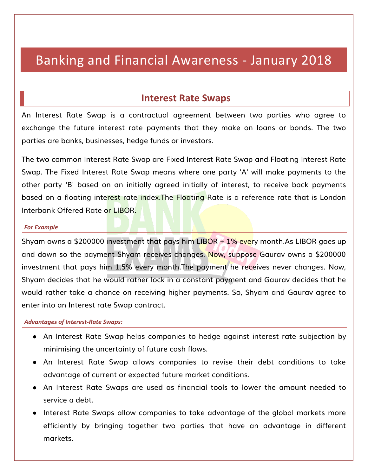# Banking and Financial Awareness - January 2018

## **Interest Rate Swaps**

An Interest Rate Swap is a contractual agreement between two parties who agree to exchange the future interest rate payments that they make on loans or bonds. The two parties are banks, businesses, hedge funds or investors.

The two common Interest Rate Swap are Fixed Interest Rate Swap and Floating Interest Rate Swap. The Fixed Interest Rate Swap means where one party 'A' will make payments to the other party 'B' based on an initially agreed initially of interest, to receive back payments based on a floating interest rate index. The Floating Rate is a reference rate that is London Interbank Offered Rate or LIBOR.

#### *For Example*

Shyam owns a \$200000 investment that pays him LIBOR  $+1\%$  every month.As LIBOR goes up and down so the payment Shyam receives changes. Now, suppose Gaurav owns a \$200000 investment that pays him 1.5% every month.The payment he receives never changes. Now, Shyam decides that he would rather lock in a constant payment and Gaurav decides that he would rather take a chance on receiving higher payments. So, Shyam and Gaurav agree to enter into an Interest rate Swap contract.

#### *Advantages of Interest-Rate Swaps:*

- An Interest Rate Swap helps companies to hedge against interest rate subjection by minimising the uncertainty of future cash flows.
- An Interest Rate Swap allows companies to revise their debt conditions to take advantage of current or expected future market conditions.
- An Interest Rate Swaps are used as financial tools to lower the amount needed to service a debt.
- Interest Rate Swaps allow companies to take advantage of the global markets more efficiently by bringing together two parties that have an advantage in different markets.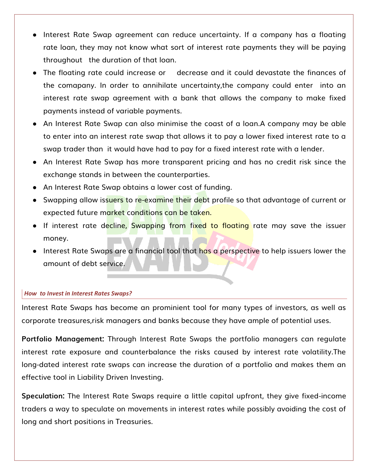- Interest Rate Swap agreement can reduce uncertainty. If a company has a floating rate loan, they may not know what sort of interest rate payments they will be paying throughout the duration of that loan.
- The floating rate could increase or decrease and it could devastate the finances of the comapany. In order to annihilate uncertainty,the company could enter into an interest rate swap agreement with a bank that allows the company to make fixed payments instead of variable payments.
- An Interest Rate Swap can also minimise the coast of a loan.A company may be able to enter into an interest rate swap that allows it to pay a lower fixed interest rate to a swap trader than it would have had to pay for a fixed interest rate with a lender.
- An Interest Rate Swap has more transparent pricing and has no credit risk since the exchange stands in between the counterparties.
- An Interest Rate Swap obtains a lower cost of funding.
- Swapping allow issuers to re-examine their debt profile so that advantage of current or expected future market conditions can be taken.
- If interest rate decline, Swapping from fixed to floating rate may save the issuer money.
- Interest Rate Swaps are a financial tool that has a perspective to help issuers lower the amount of debt service.

### *How to Invest in Interest Rates Swaps?*

Interest Rate Swaps has become an prominient tool for many types of investors, as well as corporate treasures,risk managers and banks because they have ample of potential uses.

**Portfolio Management:** Through Interest Rate Swaps the portfolio managers can regulate interest rate exposure and counterbalance the risks caused by interest rate volatility.The long-dated interest rate swaps can increase the duration of a portfolio and makes them an effective tool in Liability Driven Investing.

**Speculation:** The Interest Rate Swaps require a little capital upfront, they give fixed-income traders a way to speculate on movements in interest rates while possibly avoiding the cost of long and short positions in Treasuries.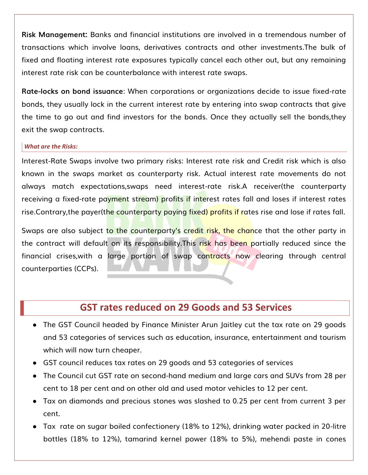**Risk Management:** Banks and financial institutions are involved in a tremendous number of transactions which involve loans, derivatives contracts and other investments.The bulk of fixed and floating interest rate exposures typically cancel each other out, but any remaining interest rate risk can be counterbalance with interest rate swaps.

**Rate-locks on bond issuance**: When corporations or organizations decide to issue fixed-rate bonds, they usually lock in the current interest rate by entering into swap contracts that give the time to go out and find investors for the bonds. Once they actually sell the bonds,they exit the swap contracts.

#### *What are the Risks:*

Interest-Rate Swaps involve two primary risks: Interest rate risk and Credit risk which is also known in the swaps market as counterparty risk. Actual interest rate movements do not always match expectations,swaps need interest-rate risk.A receiver(the counterparty receiving a fixed-rate payment stream) profits if interest rates fall and loses if interest rates rise.Contrary, the payer (the counterparty paying fixed) profits if rates rise and lose if rates fall.

Swaps are also subject to the counterparty's credit risk, the chance that the other party in the contract will default on its responsibility.This risk has been partially reduced since the financial crises,with a large portion of swap contracts now clearing through central counterparties (CCPs).

## **GST rates reduced on 29 Goods and 53 Services**

- The GST Council headed by Finance Minister Arun Jaitley cut the tax rate on 29 goods and 53 categories of services such as education, insurance, entertainment and tourism which will now turn cheaper.
- GST council reduces tax rates on 29 goods and 53 categories of services
- The Council cut GST rate on second-hand medium and large cars and SUVs from 28 per cent to 18 per cent and on other old and used motor vehicles to 12 per cent.
- Tax on diamonds and precious stones was slashed to 0.25 per cent from current 3 per cent.
- Tax rate on sugar boiled confectionery (18% to 12%), drinking water packed in 20-litre bottles (18% to 12%), tamarind kernel power (18% to 5%), mehendi paste in cones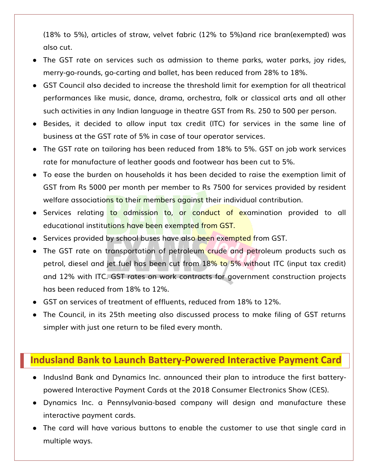(18% to 5%), articles of straw, velvet fabric (12% to 5%)and rice bran(exempted) was also cut.

- The GST rate on services such as admission to theme parks, water parks, joy rides, merry-go-rounds, go-carting and ballet, has been reduced from 28% to 18%.
- GST Council also decided to increase the threshold limit for exemption for all theatrical performances like music, dance, drama, orchestra, folk or classical arts and all other such activities in any Indian language in theatre GST from Rs. 250 to 500 per person.
- Besides, it decided to allow input tax credit (ITC) for services in the same line of business at the GST rate of 5% in case of tour operator services.
- The GST rate on tailoring has been reduced from 18% to 5%. GST on job work services rate for manufacture of leather goods and footwear has been cut to 5%.
- To ease the burden on households it has been decided to raise the exemption limit of GST from Rs 5000 per month per member to Rs 7500 for services provided by resident welfare associations to their members against their individual contribution.
- Services relating to admission to, or conduct of examination provided to all educational institutions have been exempted from GST.
- Services provided by school buses have also been exempted from GST.
- The GST rate on transportation of petroleum crude and petroleum products such as petrol, diesel and jet fuel has been cut from 18% to 5% without ITC (input tax credit) and 12% with ITC. GST rates on work contracts for government construction projects has been reduced from 18% to 12%.
- GST on services of treatment of effluents, reduced from 18% to 12%.
- The Council, in its 25th meeting also discussed process to make filing of GST returns simpler with just one return to be filed every month.

## **Indusland Bank to Launch Battery-Powered Interactive Payment Card**

- IndusInd Bank and Dynamics Inc. announced their plan to introduce the first batterypowered Interactive Payment Cards at the 2018 Consumer Electronics Show (CES).
- Dynamics Inc. a Pennsylvania-based company will design and manufacture these interactive payment cards.
- The card will have various buttons to enable the customer to use that single card in multiple ways.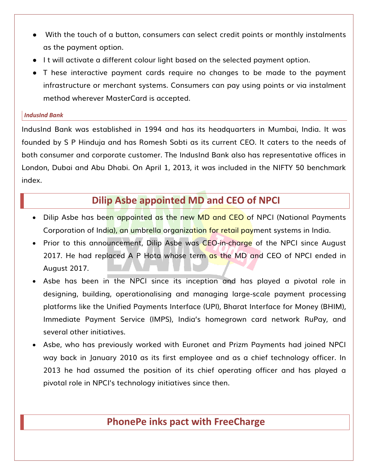- With the touch of a button, consumers can select credit points or monthly instalments as the payment option.
- I t will activate a different colour light based on the selected payment option.
- T hese interactive payment cards require no changes to be made to the payment infrastructure or merchant systems. Consumers can pay using points or via instalment method wherever MasterCard is accepted.

### *IndusInd Bank*

IndusInd Bank was established in 1994 and has its headquarters in Mumbai, India. It was founded by S P Hinduja and has Romesh Sobti as its current CEO. It caters to the needs of both consumer and corporate customer. The IndusInd Bank also has representative offices in London, Dubai and Abu Dhabi. On April 1, 2013, it was included in the NIFTY 50 benchmark index.

## **Dilip Asbe appointed MD and CEO of NPCI**

- Dilip Asbe has been appointed as the new MD and CEO of NPCI (National Payments Corporation of India), an umbrella organization for retail payment systems in India.
- Prior to this announcement, Dilip Asbe was CEO-in-charge of the NPCI since August 2017. He had replaced A P Hota whose term as the MD and CEO of NPCI ended in August 2017.
- Asbe has been in the NPCI since its inception and has played a pivotal role in designing, building, operationalising and managing large-scale payment processing platforms like the Unified Payments Interface (UPI), Bharat Interface for Money (BHIM), Immediate Payment Service (IMPS), India's homegrown card network RuPay, and several other initiatives.
- Asbe, who has previously worked with Euronet and Prizm Payments had joined NPCI way back in January 2010 as its first employee and as a chief technology officer. In 2013 he had assumed the position of its chief operating officer and has played a pivotal role in NPCI's technology initiatives since then.

## **PhonePe inks pact with FreeCharge**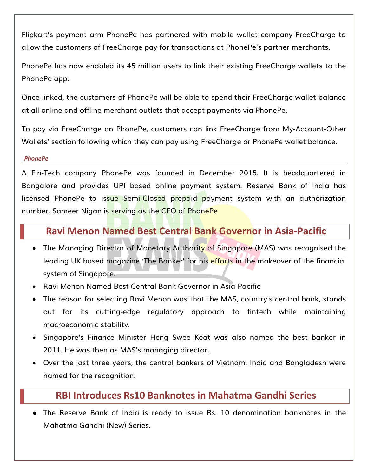Flipkart's payment arm PhonePe has partnered with mobile wallet company FreeCharge to allow the customers of FreeCharge pay for transactions at PhonePe's partner merchants.

PhonePe has now enabled its 45 million users to link their existing FreeCharge wallets to the PhonePe app.

Once linked, the customers of PhonePe will be able to spend their FreeCharge wallet balance at all online and offline merchant outlets that accept payments via PhonePe.

To pay via FreeCharge on PhonePe, customers can link FreeCharge from My-Account-Other Wallets' section following which they can pay using FreeCharge or PhonePe wallet balance.

### *PhonePe*

A Fin-Tech company PhonePe was founded in December 2015. It is headquartered in Bangalore and provides UPI based online payment system. Reserve Bank of India has licensed PhonePe to issue Semi-Closed prepaid payment system with an authorization number. Sameer Nigan is serving as the CEO of PhonePe

## **Ravi Menon Named Best Central Bank Governor in Asia-Pacific**

- The Managing Director of Monetary Authority of Singapore (MAS) was recognised the leading UK based magazine 'The Banker' for his efforts in the makeover of the financial system of Singapore.
- Ravi Menon Named Best Central Bank Governor in Asia-Pacific
- The reason for selecting Ravi Menon was that the MAS, country's central bank, stands out for its cutting-edge regulatory approach to fintech while maintaining macroeconomic stability.
- Singapore's Finance Minister Heng Swee Keat was also named the best banker in 2011. He was then as MAS's managing director.
- Over the last three years, the central bankers of Vietnam, India and Bangladesh were named for the recognition.

## **RBI Introduces Rs10 Banknotes in Mahatma Gandhi Series**

● The Reserve Bank of India is ready to issue Rs. 10 denomination banknotes in the Mahatma Gandhi (New) Series.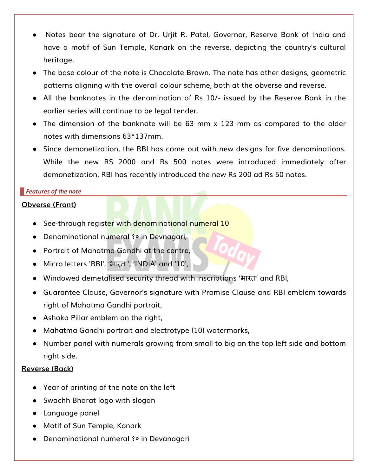- Notes bear the signature of Dr. Urjit R. Patel, Governor, Reserve Bank of India and have a motif of Sun Temple, Konark on the reverse, depicting the country's cultural heritage.
- The base colour of the note is Chocolate Brown. The note has other designs, geometric patterns aligning with the overall colour scheme, both at the obverse and reverse.
- All the banknotes in the denomination of Rs 10/- issued by the Reserve Bank in the earlier series will continue to be legal tender.
- The dimension of the banknote will be 63 mm x 123 mm as compared to the older notes with dimensions 63\*137mm.
- Since demonetization, the RBI has come out with new designs for five denominations. While the new RS 2000 and Rs 500 notes were introduced immediately after demonetization, RBI has recently introduced the new Rs 200 ad Rs 50 notes.

## *Features of the note*

## **Obverse (Front)**

- See-through register with denominational numeral 10
- Denominational numeral १० in Devnagari,
- Portrait of Mahatma Gandhi at the centre,
- Micro letters 'RBI', 'भारत', 'INDIA' and '10',
- Windowed demetalised security thread with inscriptions ' ' and RBI,
- Guarantee Clause, Governor's signature with Promise Clause and RBI emblem towards right of Mahatma Gandhi portrait,
- Ashoka Pillar emblem on the right,
- Mahatma Gandhi portrait and electrotype (10) watermarks,
- Number panel with numerals growing from small to big on the top left side and bottom right side.

## **Reverse (Back)**

- Year of printing of the note on the left
- Swachh Bharat logo with slogan
- Language panel
- Motif of Sun Temple, Konark
- Denominational numeral १० in Devanagari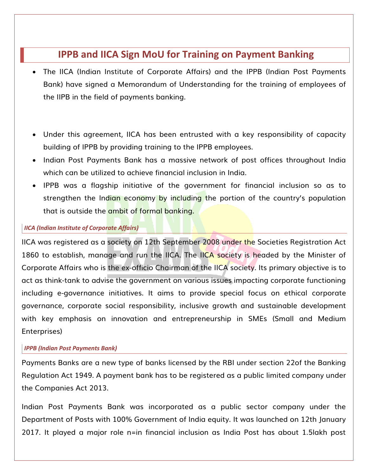## **IPPB and IICA Sign MoU for Training on Payment Banking**

- The IICA (Indian Institute of Corporate Affairs) and the IPPB (Indian Post Payments Bank) have signed a Memorandum of Understanding for the training of employees of the IIPB in the field of payments banking.
- Under this agreement, IICA has been entrusted with a key responsibility of capacity building of IPPB by providing training to the IPPB employees.
- Indian Post Payments Bank has a massive network of post offices throughout India which can be utilized to achieve financial inclusion in India.
- IPPB was a flagship initiative of the government for financial inclusion so as to strengthen the Indian economy by including the portion of the country's population that is outside the ambit of formal banking.

## *IICA (Indian Institute of Corporate Affairs)*

IICA was registered as a society on 12th September 2008 under the Societies Registration Act 1860 to establish, manage and run the IICA. The IICA society is headed by the Minister of Corporate Affairs who is the ex-officio Chairman of the IICA society. Its primary objective is to act as think-tank to advise the government on various issues impacting corporate functioning including e-governance initiatives. It aims to provide special focus on ethical corporate governance, corporate social responsibility, inclusive growth and sustainable development with key emphasis on innovation and entrepreneurship in SMEs (Small and Medium Enterprises)

### *IPPB (Indian Post Payments Bank)*

Payments Banks are a new type of banks licensed by the RBI under section 22of the Banking Regulation Act 1949. A payment bank has to be registered as a public limited company under the Companies Act 2013.

Indian Post Payments Bank was incorporated as a public sector company under the Department of Posts with 100% Government of India equity. It was launched on 12th January 2017. It played a major role n=in financial inclusion as India Post has about 1.5lakh post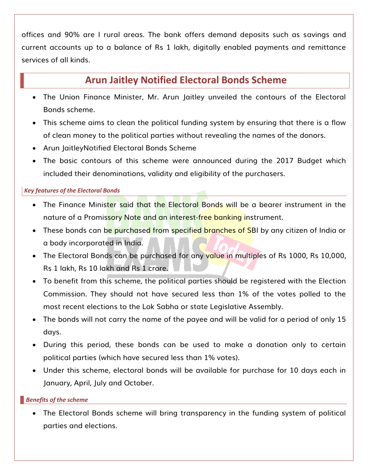offices and 90% are I rural areas. The bank offers demand deposits such as savings and current accounts up to a balance of Rs 1 lakh, digitally enabled payments and remittance services of all kinds.

## **Arun Jaitley Notified Electoral Bonds Scheme**

- The Union Finance Minister, Mr. Arun Jaitley unveiled the contours of the Electoral Bonds scheme.
- This scheme aims to clean the political funding system by ensuring that there is a flow of clean money to the political parties without revealing the names of the donors.
- Arun JaitleyNotified Electoral Bonds Scheme
- The basic contours of this scheme were announced during the 2017 Budget which included their denominations, validity and eligibility of the purchasers.

## *Key features of the Electoral Bonds*

- The Finance Minister said that the Electoral Bonds will be a bearer instrument in the nature of a Promissory Note and an interest-free banking instrument.
- These bonds can be purchased from specified branches of SBI by any citizen of India or a body incorporated in India.
- The Electoral Bonds can be purchased for any value in multiples of Rs 1000, Rs 10,000, Rs 1 lakh, Rs 10 lakh and Rs 1 crore.
- To benefit from this scheme, the political parties should be registered with the Election Commission. They should not have secured less than 1% of the votes polled to the most recent elections to the Lok Sabha or state Legislative Assembly.
- The bonds will not carry the name of the payee and will be valid for a period of only 15 days.
- During this period, these bonds can be used to make a donation only to certain political parties (which have secured less than 1% votes).
- Under this scheme, electoral bonds will be available for purchase for 10 days each in January, April, July and October.

## *Benefits of the scheme*

 The Electoral Bonds scheme will bring transparency in the funding system of political parties and elections.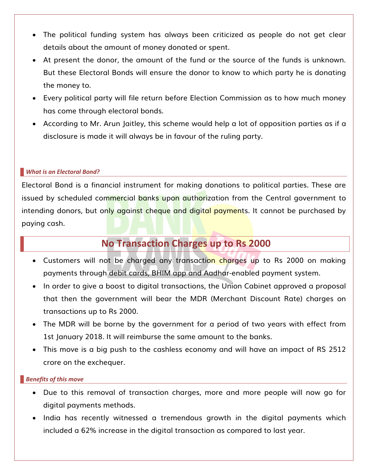- The political funding system has always been criticized as people do not get clear details about the amount of money donated or spent.
- At present the donor, the amount of the fund or the source of the funds is unknown. But these Electoral Bonds will ensure the donor to know to which party he is donating the money to.
- Every political party will file return before Election Commission as to how much money has come through electoral bonds.
- According to Mr. Arun Jaitley, this scheme would help a lot of opposition parties as if a disclosure is made it will always be in favour of the ruling party.

### *What is an Electoral Bond?*

Electoral Bond is a financial instrument for making donations to political parties. These are issued by scheduled commercial banks upon authorization from the Central government to intending donors, but only against cheque and digital payments. It cannot be purchased by paying cash.

## **No Transaction Charges up to Rs 2000**

- Customers will not be charged any transaction charges up to Rs 2000 on making payments through debit cards, BHIM app and Aadhar-enabled payment system.
- In order to give a boost to digital transactions, the Union Cabinet approved a proposal that then the government will bear the MDR (Merchant Discount Rate) charges on transactions up to Rs 2000.
- The MDR will be borne by the government for a period of two years with effect from 1st January 2018. It will reimburse the same amount to the banks.
- This move is a big push to the cashless economy and will have an impact of RS 2512 crore on the exchequer.

### *Benefits of this move*

- Due to this removal of transaction charges, more and more people will now go for digital payments methods.
- India has recently witnessed a tremendous growth in the digital payments which included a 62% increase in the digital transaction as compared to last year.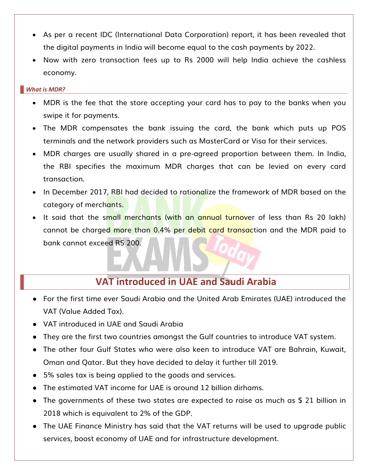- As per a recent IDC (International Data Corporation) report, it has been revealed that the digital payments in India will become equal to the cash payments by 2022.
- Now with zero transaction fees up to Rs 2000 will help India achieve the cashless economy.

### *What is MDR?*

- MDR is the fee that the store accepting your card has to pay to the banks when you swipe it for payments.
- The MDR compensates the bank issuing the card, the bank which puts up POS terminals and the network providers such as MasterCard or Visa for their services.
- MDR charges are usually shared in a pre-agreed proportion between them. In India, the RBI specifies the maximum MDR charges that can be levied on every card transaction.
- In December 2017, RBI had decided to rationalize the framework of MDR based on the category of merchants.
- It said that the small merchants (with an annual turnover of less than Rs 20 lakh) cannot be charged more than 0.4% per debit card transaction and the MDR paid to bank cannot exceed RS 200.

## **VAT introduced in UAE and Saudi Arabia**

- For the first time ever Saudi Arabia and the United Arab Emirates (UAE) introduced the VAT (Value Added Tax).
- VAT introduced in UAE and Saudi Arabia
- They are the first two countries amongst the Gulf countries to introduce VAT system.
- The other four Gulf States who were also keen to introduce VAT are Bahrain, Kuwait, Oman and Qatar. But they have decided to delay it further till 2019.
- 5% sales tax is being applied to the goods and services.
- The estimated VAT income for UAE is around 12 billion dirhams.
- The governments of these two states are expected to raise as much as \$ 21 billion in 2018 which is equivalent to 2% of the GDP.
- The UAE Finance Ministry has said that the VAT returns will be used to upgrade public services, boost economy of UAE and for infrastructure development.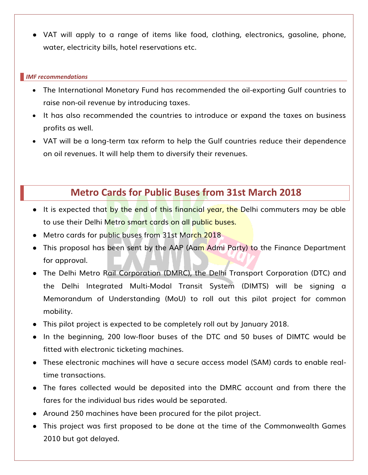● VAT will apply to a range of items like food, clothing, electronics, gasoline, phone, water, electricity bills, hotel reservations etc.

### *IMF recommendations*

- The International Monetary Fund has recommended the oil-exporting Gulf countries to raise non-oil revenue by introducing taxes.
- It has also recommended the countries to introduce or expand the taxes on business profits as well.
- VAT will be a long-term tax reform to help the Gulf countries reduce their dependence on oil revenues. It will help them to diversify their revenues.

## **Metro Cards for Public Buses from 31st March 2018**

- It is expected that by the end of this financial year, the Delhi commuters may be able to use their Delhi Metro smart cards on all public buses.
- Metro cards for public buses from 31st March 2018
- This proposal has been sent by the AAP (Aam Admi Party) to the Finance Department for approval.
- The Delhi Metro Rail Corporation (DMRC), the Delhi Transport Corporation (DTC) and the Delhi Integrated Multi-Modal Transit System (DIMTS) will be signing a Memorandum of Understanding (MoU) to roll out this pilot project for common mobility.
- This pilot project is expected to be completely roll out by January 2018.
- In the beginning, 200 low-floor buses of the DTC and 50 buses of DIMTC would be fitted with electronic ticketing machines.
- These electronic machines will have a secure access model (SAM) cards to enable realtime transactions.
- The fares collected would be deposited into the DMRC account and from there the fares for the individual bus rides would be separated.
- Around 250 machines have been procured for the pilot project.
- This project was first proposed to be done at the time of the Commonwealth Games 2010 but got delayed.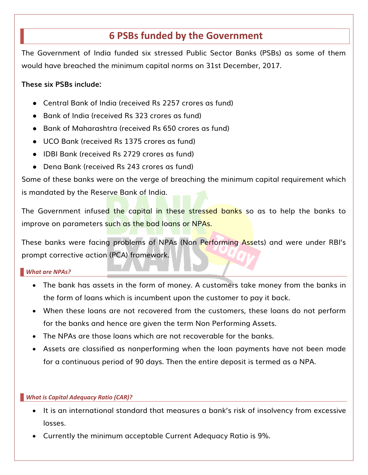## **6 PSBs funded by the Government**

The Government of India funded six stressed Public Sector Banks (PSBs) as some of them would have breached the minimum capital norms on 31st December, 2017.

## **These six PSBs include:**

- Central Bank of India (received Rs 2257 crores as fund)
- Bank of India (received Rs 323 crores as fund)
- Bank of Maharashtra (received Rs 650 crores as fund)
- UCO Bank (received Rs 1375 crores as fund)
- IDBI Bank (received Rs 2729 crores as fund)
- Dena Bank (received Rs 243 crores as fund)

Some of these banks were on the verge of breaching the minimum capital requirement which is mandated by the Reserve Bank of India.

The Government infused the capital in these stressed banks so as to help the banks to improve on parameters such as the bad loans or NPAs.

These banks were facing problems of NPAs (Non Performing Assets) and were under RBI's prompt corrective action (PCA) framework.

### *What are NPAs?*

- The bank has assets in the form of money. A customers take money from the banks in the form of loans which is incumbent upon the customer to pay it back.
- When these loans are not recovered from the customers, these loans do not perform for the banks and hence are given the term Non Performing Assets.
- The NPAs are those loans which are not recoverable for the banks.
- Assets are classified as nonperforming when the loan payments have not been made for a continuous period of 90 days. Then the entire deposit is termed as a NPA.

## *What is Capital Adequacy Ratio (CAR)?*

- It is an international standard that measures a bank's risk of insolvency from excessive losses.
- Currently the minimum acceptable Current Adequacy Ratio is 9%.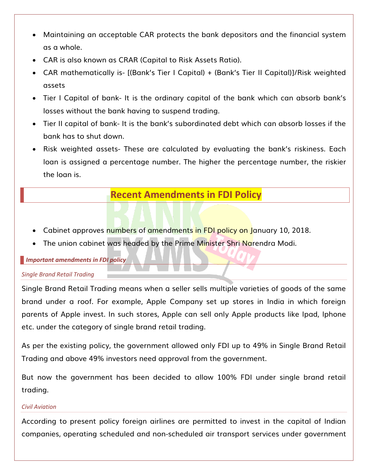- Maintaining an acceptable CAR protects the bank depositors and the financial system as a whole.
- CAR is also known as CRAR (Capital to Risk Assets Ratio).
- CAR mathematically is- [(Bank's Tier I Capital) + (Bank's Tier II Capital)]/Risk weighted assets
- Tier I Capital of bank- It is the ordinary capital of the bank which can absorb bank's losses without the bank having to suspend trading.
- Tier II capital of bank- It is the bank's subordinated debt which can absorb losses if the bank has to shut down.
- Risk weighted assets- These are calculated by evaluating the bank's riskiness. Each loan is assigned a percentage number. The higher the percentage number, the riskier the loan is.

## **Recent Amendments in FDI Policy**

- Cabinet approves numbers of amendments in FDI policy on January 10, 2018.
- The union cabinet was headed by the Prime Minister Shri Narendra Modi.

### *Important amendments in FDI policy*

## *Single Brand Retail Trading*

Single Brand Retail Trading means when a seller sells multiple varieties of goods of the same brand under a roof. For example, Apple Company set up stores in India in which foreign parents of Apple invest. In such stores, Apple can sell only Apple products like Ipad, Iphone etc. under the category of single brand retail trading.

As per the existing policy, the government allowed only FDI up to 49% in Single Brand Retail Trading and above 49% investors need approval from the government.

But now the government has been decided to allow 100% FDI under single brand retail trading.

### *Civil Aviation*

According to present policy foreign airlines are permitted to invest in the capital of Indian companies, operating scheduled and non-scheduled air transport services under government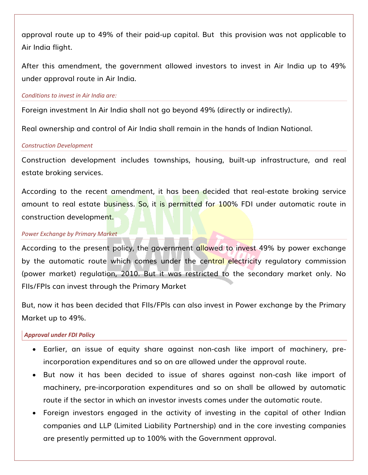approval route up to 49% of their paid-up capital. But this provision was not applicable to Air India flight.

After this amendment, the government allowed investors to invest in Air India up to 49% under approval route in Air India.

#### *Conditions to invest in Air India are:*

Foreign investment In Air India shall not go beyond 49% (directly or indirectly).

Real ownership and control of Air India shall remain in the hands of Indian National.

#### *Construction Development*

Construction development includes townships, housing, built-up infrastructure, and real estate broking services.

According to the recent amendment, it has been decided that real-estate broking service amount to real estate business. So, it is permitted for 100% FDI under automatic route in construction development.

### *Power Exchange by Primary Market*

According to the present policy, the government allowed to invest 49% by power exchange by the automatic route which comes under the central electricity regulatory commission (power market) regulation, 2010. But it was restricted to the secondary market only. No FIIs/FPIs can invest through the Primary Market

But, now it has been decided that FIIs/FPIs can also invest in Power exchange by the Primary Market up to 49%.

## *Approval under FDI Policy*

- Earlier, an issue of equity share against non-cash like import of machinery, preincorporation expenditures and so on are allowed under the approval route.
- But now it has been decided to issue of shares against non-cash like import of machinery, pre-incorporation expenditures and so on shall be allowed by automatic route if the sector in which an investor invests comes under the automatic route.
- Foreign investors engaged in the activity of investing in the capital of other Indian companies and LLP (Limited Liability Partnership) and in the core investing companies are presently permitted up to 100% with the Government approval.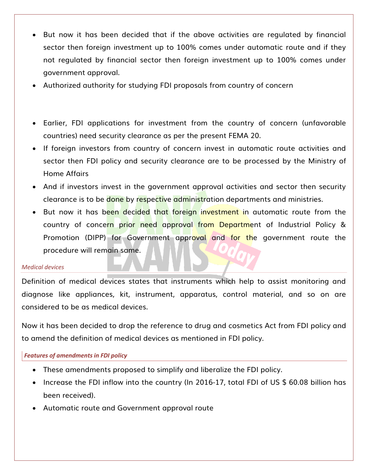- But now it has been decided that if the above activities are regulated by financial sector then foreign investment up to 100% comes under automatic route and if they not regulated by financial sector then foreign investment up to 100% comes under government approval.
- Authorized authority for studying FDI proposals from country of concern
- Earlier, FDI applications for investment from the country of concern (unfavorable countries) need security clearance as per the present FEMA 20.
- If foreign investors from country of concern invest in automatic route activities and sector then FDI policy and security clearance are to be processed by the Ministry of Home Affairs
- And if investors invest in the government approval activities and sector then security clearance is to be done by respective administration departments and ministries.
- But now it has been decided that foreign investment in automatic route from the country of concern prior need approval from Department of Industrial Policy & Promotion (DIPP) for Government approval and for the government route the procedure will remain same.

#### *Medical devices*

Definition of medical devices states that instruments which help to assist monitoring and diagnose like appliances, kit, instrument, apparatus, control material, and so on are considered to be as medical devices.

Now it has been decided to drop the reference to drug and cosmetics Act from FDI policy and to amend the definition of medical devices as mentioned in FDI policy.

### *Features of amendments in FDI policy*

- These amendments proposed to simplify and liberalize the FDI policy.
- Increase the FDI inflow into the country (In 2016-17, total FDI of US \$ 60.08 billion has been received).
- Automatic route and Government approval route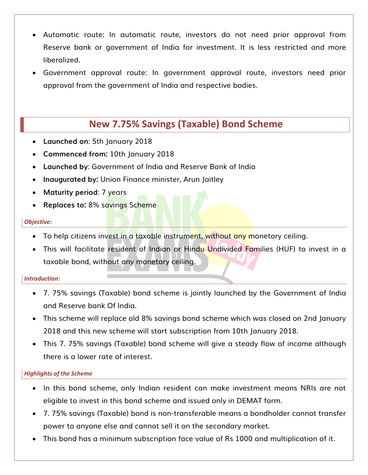- Automatic route: In automatic route, investors do not need prior approval from Reserve bank or government of India for investment. It is less restricted and more liberalized.
- Government approval route: In government approval route, investors need prior approval from the government of India and respective bodies.

## **New 7.75% Savings (Taxable) Bond Scheme**

- **Launched on**: 5th January 2018
- **Commenced from:** 10th January 2018
- **Launched by**: Government of India and Reserve Bank of India
- **Inaugurated by:** Union Finance minister, Arun Jaitley
- **Maturity period**: 7 years
- **Replaces to:** 8% savings Scheme

### *Objective:*

- To help citizens invest in a taxable instrument, without any monetary ceiling.
- This will facilitate resident of Indian or Hindu Undivided Families (HUF) to invest in a taxable bond, without any monetary ceiling.

## *Introduction:*

- 7. 75% savings (Taxable) bond scheme is jointly launched by the Government of India and Reserve bank Of India.
- This scheme will replace old 8% savings bond scheme which was closed on 2nd January 2018 and this new scheme will start subscription from 10th January 2018.
- This 7. 75% savings (Taxable) bond scheme will give a steady flow of income although there is a lower rate of interest.

## *Highlights of the Scheme*

- In this bond scheme, only Indian resident can make investment means NRIs are not eligible to invest in this bond scheme and issued only in DEMAT form.
- 7. 75% savings (Taxable) bond is non-transferable means a bondholder cannot transfer power to anyone else and cannot sell it on the secondary market.
- This bond has a minimum subscription face value of Rs 1000 and multiplication of it.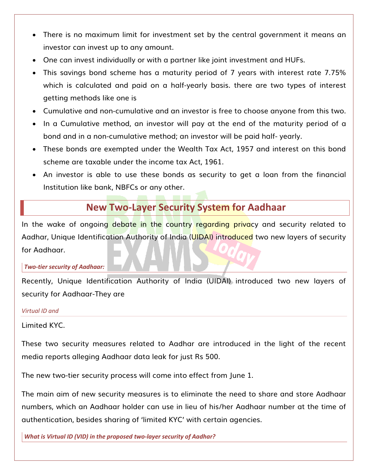- There is no maximum limit for investment set by the central government it means an investor can invest up to any amount.
- One can invest individually or with a partner like joint investment and HUFs.
- This savings bond scheme has a maturity period of 7 years with interest rate 7.75% which is calculated and paid on a half-yearly basis. there are two types of interest getting methods like one is
- Cumulative and non-cumulative and an investor is free to choose anyone from this two.
- In a Cumulative method, an investor will pay at the end of the maturity period of a bond and in a non-cumulative method; an investor will be paid half- yearly.
- These bonds are exempted under the Wealth Tax Act, 1957 and interest on this bond scheme are taxable under the income tax Act, 1961.
- An investor is able to use these bonds as security to get a loan from the financial Institution like bank, NBFCs or any other.

## **New Two-Layer Security System for Aadhaar**

In the wake of ongoing debate in the country regarding privacy and security related to Aadhar, Unique Identification Authority of India (UIDAI) introduced two new layers of security for Aadhaar.

### *Two-tier security of Aadhaar:*

Recently, Unique Identification Authority of India (UIDAI) introduced two new layers of security for Aadhaar-They are

### *Virtual ID and*

Limited KYC.

These two security measures related to Aadhar are introduced in the light of the recent media reports alleging Aadhaar data leak for just Rs 500.

The new two-tier security process will come into effect from June 1.

The main aim of new security measures is to eliminate the need to share and store Aadhaar numbers, which an Aadhaar holder can use in lieu of his/her Aadhaar number at the time of authentication, besides sharing of 'limited KYC' with certain agencies.

*What is Virtual ID (VID) in the proposed two-layer security of Aadhar?*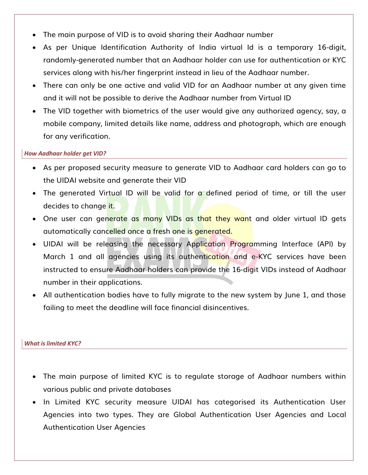- The main purpose of VID is to avoid sharing their Aadhaar number
- As per Unique Identification Authority of India virtual Id is a temporary 16-digit, randomly-generated number that an Aadhaar holder can use for authentication or KYC services along with his/her fingerprint instead in lieu of the Aadhaar number.
- There can only be one active and valid VID for an Aadhaar number at any given time and it will not be possible to derive the Aadhaar number from Virtual ID
- The VID together with biometrics of the user would give any authorized agency, say, a mobile company, limited details like name, address and photograph, which are enough for any verification.

### *How Aadhaar holder get VID?*

- As per proposed security measure to generate VID to Aadhaar card holders can go to the UIDAI website and generate their VID
- The generated Virtual ID will be valid for a defined period of time, or till the user decides to change it.
- One user can generate as many VIDs as that they want and older virtual ID gets automatically cancelled once a fresh one is generated.
- UIDAI will be releasing the necessary Application Programming Interface (API) by March 1 and all agencies using its authentication and e-KYC services have been instructed to ensure Aadhaar holders can provide the 16-digit VIDs instead of Aadhaar number in their applications.
- All authentication bodies have to fully migrate to the new system by June 1, and those failing to meet the deadline will face financial disincentives.

## *What is limited KYC?*

- The main purpose of limited KYC is to regulate storage of Aadhaar numbers within various public and private databases
- In Limited KYC security measure UIDAI has categorised its Authentication User Agencies into two types. They are Global Authentication User Agencies and Local Authentication User Agencies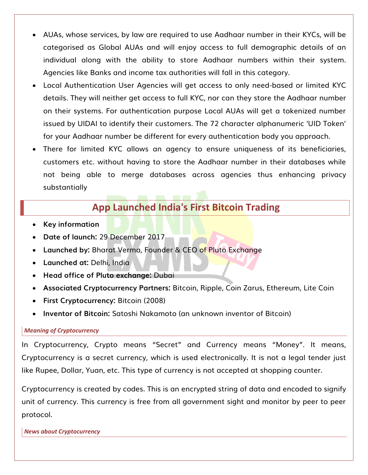- AUAs, whose services, by law are required to use Aadhaar number in their KYCs, will be categorised as Global AUAs and will enjoy access to full demographic details of an individual along with the ability to store Aadhaar numbers within their system. Agencies like Banks and income tax authorities will fall in this category.
- Local Authentication User Agencies will get access to only need-based or limited KYC details. They will neither get access to full KYC, nor can they store the Aadhaar number on their systems. For authentication purpose Local AUAs will get a tokenized number issued by UIDAI to identify their customers. The 72 character alphanumeric 'UID Token' for your Aadhaar number be different for every authentication body you approach.
- There for limited KYC allows an agency to ensure uniqueness of its beneficiaries, customers etc. without having to store the Aadhaar number in their databases while not being able to merge databases across agencies thus enhancing privacy substantially

## **App Launched India's First Bitcoin Trading**

- **Key information**
- **Date of launch:** 29 December 2017
- **Launched by:** Bharat Verma, Founder & CEO of Pluto Exchange
- **Launched at:** Delhi, India
- **Head office of Pluto exchange:** Dubai
- **Associated Cryptocurrency Partners:** Bitcoin, Ripple, Coin Zarus, Ethereum, Lite Coin
- **First Cryptocurrency:** Bitcoin (2008)
- **Inventor of Bitcoin:** Satoshi Nakamoto (an unknown inventor of Bitcoin)

### *Meaning of Cryptocurrency*

In Cryptocurrency, Crypto means "Secret" and Currency means "Money". It means, Cryptocurrency is a secret currency, which is used electronically. It is not a legal tender just like Rupee, Dollar, Yuan, etc. This type of currency is not accepted at shopping counter.

Cryptocurrency is created by codes. This is an encrypted string of data and encoded to signify unit of currency. This currency is free from all government sight and monitor by peer to peer protocol.

*News about Cryptocurrency*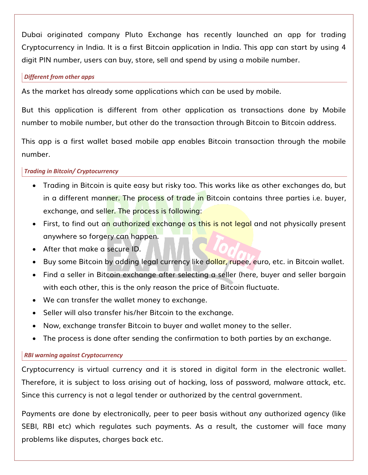Dubai originated company Pluto Exchange has recently launched an app for trading Cryptocurrency in India. It is a first Bitcoin application in India. This app can start by using 4 digit PIN number, users can buy, store, sell and spend by using a mobile number.

### *Different from other apps*

As the market has already some applications which can be used by mobile.

But this application is different from other application as transactions done by Mobile number to mobile number, but other do the transaction through Bitcoin to Bitcoin address.

This app is a first wallet based mobile app enables Bitcoin transaction through the mobile number.

## *Trading in Bitcoin/ Cryptocurrency*

- Trading in Bitcoin is quite easy but risky too. This works like as other exchanges do, but in a different manner. The process of trade in Bitcoin contains three parties i.e. buyer, exchange, and seller. The process is following:
- First, to find out an authorized exchange as this is not legal and not physically present anywhere so forgery can happen.
- After that make a secure ID.
- Buy some Bitcoin by adding legal currency like dollar, rupee, euro, etc. in Bitcoin wallet.
- Find a seller in Bitcoin exchange after selecting a seller (here, buyer and seller bargain with each other, this is the only reason the price of Bitcoin fluctuate.
- We can transfer the wallet money to exchange.
- Seller will also transfer his/her Bitcoin to the exchange.
- Now, exchange transfer Bitcoin to buyer and wallet money to the seller.
- The process is done after sending the confirmation to both parties by an exchange.

### *RBI warning against Cryptocurrency*

Cryptocurrency is virtual currency and it is stored in digital form in the electronic wallet. Therefore, it is subject to loss arising out of hacking, loss of password, malware attack, etc. Since this currency is not a legal tender or authorized by the central government.

Payments are done by electronically, peer to peer basis without any authorized agency (like SEBI, RBI etc) which regulates such payments. As a result, the customer will face many problems like disputes, charges back etc.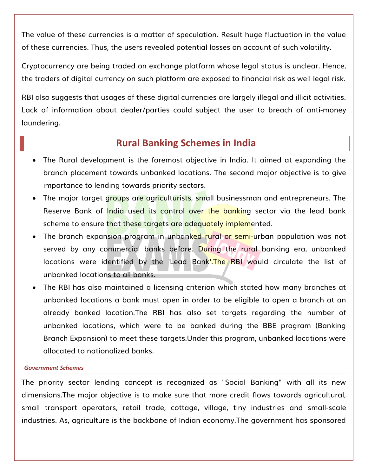The value of these currencies is a matter of speculation. Result huge fluctuation in the value of these currencies. Thus, the users revealed potential losses on account of such volatility.

Cryptocurrency are being traded on exchange platform whose legal status is unclear. Hence, the traders of digital currency on such platform are exposed to financial risk as well legal risk.

RBI also suggests that usages of these digital currencies are largely illegal and illicit activities. Lack of information about dealer/parties could subject the user to breach of anti-money laundering.

## **Rural Banking Schemes in India**

- The Rural development is the foremost objective in India. It aimed at expanding the branch placement towards unbanked locations. The second major objective is to give importance to lending towards priority sectors.
- The major target groups are agriculturists, small businessman and entrepreneurs. The Reserve Bank of India used its control over the banking sector via the lead bank scheme to ensure that these targets are adequately implemented.
- The branch expansion program in unbanked rural or semi-urban population was not served by any commercial banks before. During the rural banking era, unbanked locations were identified by the 'Lead Bank'.The RBI would circulate the list of unbanked locations to all banks.
- The RBI has also maintained a licensing criterion which stated how many branches at unbanked locations a bank must open in order to be eligible to open a branch at an already banked location.The RBI has also set targets regarding the number of unbanked locations, which were to be banked during the BBE program (Banking Branch Expansion) to meet these targets.Under this program, unbanked locations were allocated to nationalized banks.

#### *Government Schemes*

The priority sector lending concept is recognized as "Social Banking" with all its new dimensions.The major objective is to make sure that more credit flows towards agricultural, small transport operators, retail trade, cottage, village, tiny industries and small-scale industries. As, agriculture is the backbone of Indian economy.The government has sponsored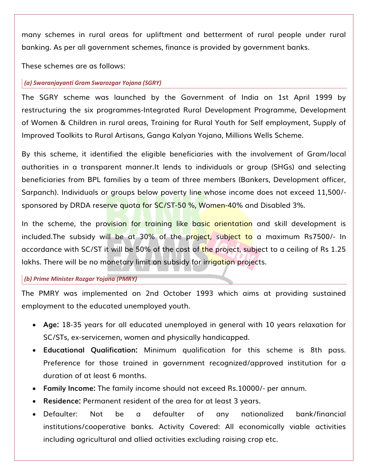many schemes in rural areas for upliftment and betterment of rural people under rural banking. As per all government schemes, finance is provided by government banks.

These schemes are as follows:

### *(a) Swaranjayanti Gram Swarozgar Yojana (SGRY)*

The SGRY scheme was launched by the Government of India on 1st April 1999 by restructuring the six programmes-Integrated Rural Development Programme, Development of Women & Children in rural areas, Training for Rural Youth for Self employment, Supply of Improved Toolkits to Rural Artisans, Ganga Kalyan Yojana, Millions Wells Scheme.

By this scheme, it identified the eligible beneficiaries with the involvement of Gram/local authorities in a transparent manner.It lends to individuals or group (SHGs) and selecting beneficiaries from BPL families by a team of three members (Bankers, Development officer, Sarpanch). Individuals or groups below poverty line whose income does not exceed 11,500/sponsored by DRDA reserve quota for SC/ST-50 %, Women-40% and Disabled 3%.

In the scheme, the provision for training like basic orientation and skill development is included.The subsidy will be at 30% of the project, subject to a maximum Rs7500/- In accordance with SC/ST it will be 50% of the cost of the project, subject to a ceiling of Rs 1.25 lakhs. There will be no monetary limit on subsidy for irrigation projects.

### *(b) Prime Minister Rozgar Yojana (PMRY)*

The PMRY was implemented on 2nd October 1993 which aims at providing sustained employment to the educated unemployed youth.

- **Age:** 18-35 years for all educated unemployed in general with 10 years relaxation for SC/STs, ex-servicemen, women and physically handicapped.
- **Educational Qualification:** Minimum qualification for this scheme is 8th pass. Preference for those trained in government recognized/approved institution for a duration of at least 6 months.
- **Family Income:** The family income should not exceed Rs.10000/- per annum.
- **Residence:** Permanent resident of the area for at least 3 years.
- Defaulter: Not be a defaulter of any nationalized bank/financial institutions/cooperative banks. Activity Covered: All economically viable activities including agricultural and allied activities excluding raising crop etc.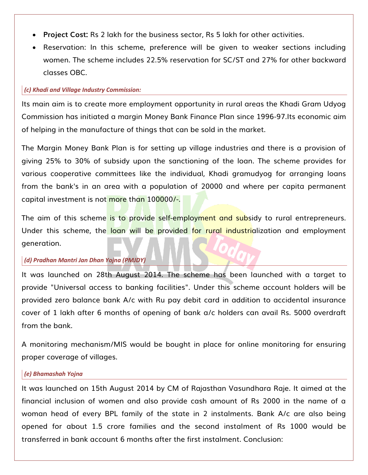- **Project Cost:** Rs 2 lakh for the business sector, Rs 5 lakh for other activities.
- Reservation: In this scheme, preference will be given to weaker sections including women. The scheme includes 22.5% reservation for SC/ST and 27% for other backward classes OBC.

#### *(c) Khadi and Village Industry Commission:*

Its main aim is to create more employment opportunity in rural areas the Khadi Gram Udyog Commission has initiated a margin Money Bank Finance Plan since 1996-97.Its economic aim of helping in the manufacture of things that can be sold in the market.

The Margin Money Bank Plan is for setting up village industries and there is a provision of giving 25% to 30% of subsidy upon the sanctioning of the loan. The scheme provides for various cooperative committees like the individual, Khadi gramudyog for arranging loans from the bank's in an area with a population of 20000 and where per capita permanent capital investment is not more than 100000/-.

The aim of this scheme is to provide self-employment and subsidy to rural entrepreneurs. Under this scheme, the loan will be provided for rural industrialization and employment generation.

#### *(d) Pradhan Mantri Jan Dhan Yojna (PMJDY)*

It was launched on 28th August 2014. The scheme has been launched with a target to provide "Universal access to banking facilities". Under this scheme account holders will be provided zero balance bank A/c with Ru pay debit card in addition to accidental insurance cover of 1 lakh after 6 months of opening of bank a/c holders can avail Rs. 5000 overdraft from the bank.

A monitoring mechanism/MIS would be bought in place for online monitoring for ensuring proper coverage of villages.

#### *(e) Bhamashah Yojna*

It was launched on 15th August 2014 by CM of Rajasthan Vasundhara Raje. It aimed at the financial inclusion of women and also provide cash amount of Rs 2000 in the name of a woman head of every BPL family of the state in 2 instalments. Bank A/c are also being opened for about 1.5 crore families and the second instalment of Rs 1000 would be transferred in bank account 6 months after the first instalment. Conclusion: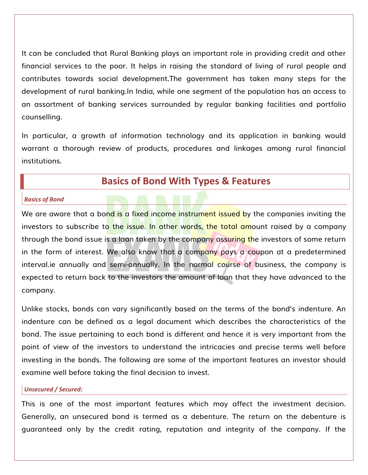It can be concluded that Rural Banking plays an important role in providing credit and other financial services to the poor. It helps in raising the standard of living of rural people and contributes towards social development.The government has taken many steps for the development of rural banking.In India, while one segment of the population has an access to an assortment of banking services surrounded by regular banking facilities and portfolio counselling.

In particular, a growth of information technology and its application in banking would warrant a thorough review of products, procedures and linkages among rural financial institutions.

## **Basics of Bond With Types & Features**

#### *Basics of Bond*

We are aware that a bond is a fixed income instrument issued by the companies inviting the investors to subscribe to the issue. In other words, the total amount raised by a company through the bond issue is a loan taken by the company assuring the investors of some return in the form of interest. We also know that a company pays a coupon at a predetermined interval.ie annually and semi-annually. In the normal course of business, the company is expected to return back to the investors the amount of loan that they have advanced to the company.

Unlike stocks, bonds can vary significantly based on the terms of the bond's indenture. An indenture can be defined as a legal document which describes the characteristics of the bond. The issue pertaining to each bond is different and hence it is very important from the point of view of the investors to understand the intricacies and precise terms well before investing in the bonds. The following are some of the important features an investor should examine well before taking the final decision to invest.

#### *Unsecured / Secured:*

This is one of the most important features which may affect the investment decision. Generally, an unsecured bond is termed as a debenture. The return on the debenture is guaranteed only by the credit rating, reputation and integrity of the company. If the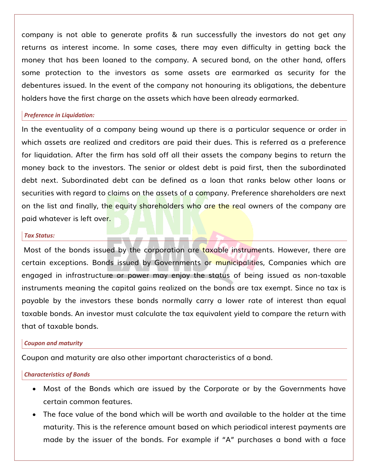company is not able to generate profits & run successfully the investors do not get any returns as interest income. In some cases, there may even difficulty in getting back the money that has been loaned to the company. A secured bond, on the other hand, offers some protection to the investors as some assets are earmarked as security for the debentures issued. In the event of the company not honouring its obligations, the debenture holders have the first charge on the assets which have been already earmarked.

#### *Preference in Liquidation:*

In the eventuality of a company being wound up there is a particular sequence or order in which assets are realized and creditors are paid their dues. This is referred as a preference for liquidation. After the firm has sold off all their assets the company begins to return the money back to the investors. The senior or oldest debt is paid first, then the subordinated debt next. Subordinated debt can be defined as a loan that ranks below other loans or securities with regard to claims on the assets of a company. Preference shareholders are next on the list and finally, the equity shareholders who are the real owners of the company are paid whatever is left over.

#### *Tax Status:*

Most of the bonds issued by the corporation are taxable instruments. However, there are certain exceptions. Bonds issued by Governments or municipalities, Companies which are engaged in infrastructure or power may enjoy the status of being issued as non-taxable instruments meaning the capital gains realized on the bonds are tax exempt. Since no tax is payable by the investors these bonds normally carry a lower rate of interest than equal taxable bonds. An investor must calculate the tax equivalent yield to compare the return with that of taxable bonds.

#### *Coupon and maturity*

Coupon and maturity are also other important characteristics of a bond.

#### *Characteristics of Bonds*

- Most of the Bonds which are issued by the Corporate or by the Governments have certain common features.
- The face value of the bond which will be worth and available to the holder at the time maturity. This is the reference amount based on which periodical interest payments are made by the issuer of the bonds. For example if "A" purchases a bond with a face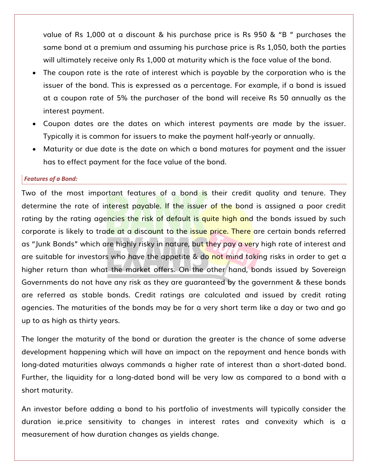value of Rs 1,000 at a discount & his purchase price is Rs 950 & "B " purchases the same bond at a premium and assuming his purchase price is Rs 1,050, both the parties will ultimately receive only Rs 1,000 at maturity which is the face value of the bond.

- The coupon rate is the rate of interest which is payable by the corporation who is the issuer of the bond. This is expressed as a percentage. For example, if a bond is issued at a coupon rate of 5% the purchaser of the bond will receive Rs 50 annually as the interest payment.
- Coupon dates are the dates on which interest payments are made by the issuer. Typically it is common for issuers to make the payment half-yearly or annually.
- Maturity or due date is the date on which a bond matures for payment and the issuer has to effect payment for the face value of the bond.

### *Features of a Bond:*

Two of the most important features of a bond is their credit quality and tenure. They determine the rate of interest payable. If the issuer of the bond is assigned a poor credit rating by the rating agencies the risk of default is quite high and the bonds issued by such corporate is likely to trade at a discount to the issue price. There are certain bonds referred as "Junk Bonds" which are highly risky in nature, but they pay a very high rate of interest and are suitable for investors who have the appetite & do not mind taking risks in order to get a higher return than what the market offers. On the other hand, bonds issued by Sovereign Governments do not have any risk as they are guaranteed by the government & these bonds are referred as stable bonds. Credit ratings are calculated and issued by credit rating agencies. The maturities of the bonds may be for a very short term like a day or two and go up to as high as thirty years.

The longer the maturity of the bond or duration the greater is the chance of some adverse development happening which will have an impact on the repayment and hence bonds with long-dated maturities always commands a higher rate of interest than a short-dated bond. Further, the liquidity for a long-dated bond will be very low as compared to a bond with a short maturity.

An investor before adding a bond to his portfolio of investments will typically consider the duration ie.price sensitivity to changes in interest rates and convexity which is a measurement of how duration changes as yields change.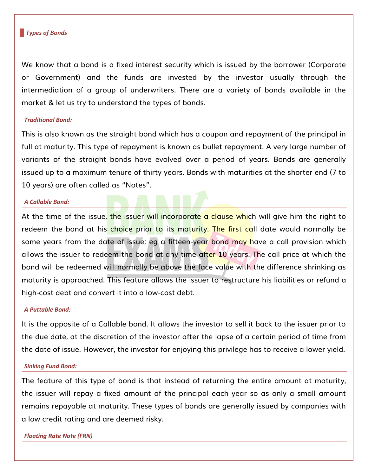#### *Types of Bonds*

We know that a bond is a fixed interest security which is issued by the borrower (Corporate or Government) and the funds are invested by the investor usually through the intermediation of a group of underwriters. There are a variety of bonds available in the market & let us try to understand the types of bonds.

#### *Traditional Bond:*

This is also known as the straight bond which has a coupon and repayment of the principal in full at maturity. This type of repayment is known as bullet repayment. A very large number of variants of the straight bonds have evolved over a period of years. Bonds are generally issued up to a maximum tenure of thirty years. Bonds with maturities at the shorter end (7 to 10 years) are often called as "Notes".

#### *A Callable Bond:*

At the time of the issue, the issuer will incorporate a clause which will give him the right to redeem the bond at his choice prior to its maturity. The first call date would normally be some years from the date of issue; eg a fifteen-year bond may have a call provision which allows the issuer to redeem the bond at any time after 10 years. The call price at which the bond will be redeemed will normally be above the face value with the difference shrinking as maturity is approached. This feature allows the issuer to restructure his liabilities or refund a high-cost debt and convert it into a low-cost debt.

#### *A Puttable Bond:*

It is the opposite of a Callable bond. It allows the investor to sell it back to the issuer prior to the due date, at the discretion of the investor after the lapse of a certain period of time from the date of issue. However, the investor for enjoying this privilege has to receive a lower yield.

#### *Sinking Fund Bond:*

The feature of this type of bond is that instead of returning the entire amount at maturity, the issuer will repay a fixed amount of the principal each year so as only a small amount remains repayable at maturity. These types of bonds are generally issued by companies with a low credit rating and are deemed risky.

*Floating Rate Note (FRN)*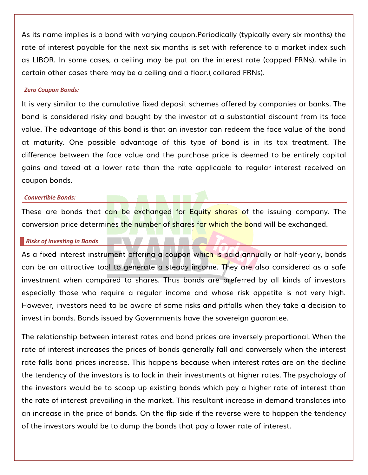As its name implies is a bond with varying coupon.Periodically (typically every six months) the rate of interest payable for the next six months is set with reference to a market index such as LIBOR. In some cases, a ceiling may be put on the interest rate (capped FRNs), while in certain other cases there may be a ceiling and a floor.( collared FRNs).

#### *Zero Coupon Bonds:*

It is very similar to the cumulative fixed deposit schemes offered by companies or banks. The bond is considered risky and bought by the investor at a substantial discount from its face value. The advantage of this bond is that an investor can redeem the face value of the bond at maturity. One possible advantage of this type of bond is in its tax treatment. The difference between the face value and the purchase price is deemed to be entirely capital gains and taxed at a lower rate than the rate applicable to regular interest received on coupon bonds.

#### *Convertible Bonds:*

These are bonds that can be exchanged for Equity shares of the issuing company. The conversion price determines the number of shares for which the bond will be exchanged.

#### *Risks of investing in Bonds*

As a fixed interest instrument offering a coupon which is paid annually or half-yearly, bonds can be an attractive tool to generate a steady income. They are also considered as a safe investment when compared to shares. Thus bonds are preferred by all kinds of investors especially those who require a regular income and whose risk appetite is not very high. However, investors need to be aware of some risks and pitfalls when they take a decision to invest in bonds. Bonds issued by Governments have the sovereign guarantee.

The relationship between interest rates and bond prices are inversely proportional. When the rate of interest increases the prices of bonds generally fall and conversely when the interest rate falls bond prices increase. This happens because when interest rates are on the decline the tendency of the investors is to lock in their investments at higher rates. The psychology of the investors would be to scoop up existing bonds which pay a higher rate of interest than the rate of interest prevailing in the market. This resultant increase in demand translates into an increase in the price of bonds. On the flip side if the reverse were to happen the tendency of the investors would be to dump the bonds that pay a lower rate of interest.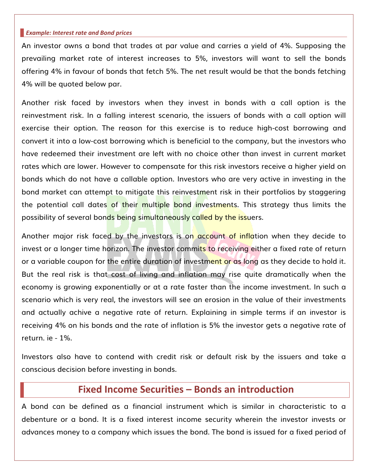#### *Example: Interest rate and Bond prices*

An investor owns a bond that trades at par value and carries a yield of 4%. Supposing the prevailing market rate of interest increases to 5%, investors will want to sell the bonds offering 4% in favour of bonds that fetch 5%. The net result would be that the bonds fetching 4% will be quoted below par.

Another risk faced by investors when they invest in bonds with a call option is the reinvestment risk. In a falling interest scenario, the issuers of bonds with a call option will exercise their option. The reason for this exercise is to reduce high-cost borrowing and convert it into a low-cost borrowing which is beneficial to the company, but the investors who have redeemed their investment are left with no choice other than invest in current market rates which are lower. However to compensate for this risk investors receive a higher yield on bonds which do not have a callable option. Investors who are very active in investing in the bond market can attempt to mitigate this reinvestment risk in their portfolios by staggering the potential call dates of their multiple bond investments. This strategy thus limits the possibility of several bonds being simultaneously called by the issuers.

Another major risk faced by the investors is on account of inflation when they decide to invest or a longer time horizon. The investor commits to receiving either a fixed rate of return or a variable coupon for the entire duration of investment or as long as they decide to hold it. But the real risk is that cost of living and inflation may rise quite dramatically when the economy is growing exponentially or at a rate faster than the income investment. In such a scenario which is very real, the investors will see an erosion in the value of their investments and actually achive a negative rate of return. Explaining in simple terms if an investor is receiving 4% on his bonds and the rate of inflation is 5% the investor gets a negative rate of return. ie - 1%.

Investors also have to contend with credit risk or default risk by the issuers and take a conscious decision before investing in bonds.

## **Fixed Income Securities – Bonds an introduction**

A bond can be defined as a financial instrument which is similar in characteristic to a debenture or a bond. It is a fixed interest income security wherein the investor invests or advances money to a company which issues the bond. The bond is issued for a fixed period of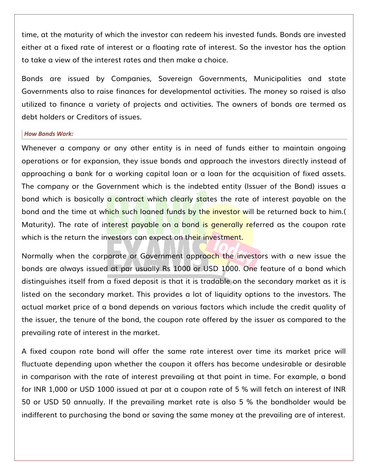time, at the maturity of which the investor can redeem his invested funds. Bonds are invested either at a fixed rate of interest or a floating rate of interest. So the investor has the option to take a view of the interest rates and then make a choice.

Bonds are issued by Companies, Sovereign Governments, Municipalities and state Governments also to raise finances for developmental activities. The money so raised is also utilized to finance a variety of projects and activities. The owners of bonds are termed as debt holders or Creditors of issues.

#### *How Bonds Work:*

Whenever a company or any other entity is in need of funds either to maintain ongoing operations or for expansion, they issue bonds and approach the investors directly instead of approaching a bank for a working capital loan or a loan for the acquisition of fixed assets. The company or the Government which is the indebted entity (Issuer of the Bond) issues a bond which is basically a contract which clearly states the rate of interest payable on the bond and the time at which such loaned funds by the investor will be returned back to him.( Maturity). The rate of interest payable on a bond is generally referred as the coupon rate which is the return the investors can expect on their investment.

Normally when the corporate or Government approach the investors with a new issue the bonds are always issued at par usually Rs 1000 or USD 1000. One feature of a bond which distinguishes itself from a fixed deposit is that it is tradable on the secondary market as it is listed on the secondary market. This provides a lot of liquidity options to the investors. The actual market price of a bond depends on various factors which include the credit quality of the issuer, the tenure of the bond, the coupon rate offered by the issuer as compared to the prevailing rate of interest in the market.

A fixed coupon rate bond will offer the same rate interest over time its market price will fluctuate depending upon whether the coupon it offers has become undesirable or desirable in comparison with the rate of interest prevailing at that point in time. For example, a bond for INR 1,000 or USD 1000 issued at par at a coupon rate of 5 % will fetch an interest of INR 50 or USD 50 annually. If the prevailing market rate is also 5 % the bondholder would be indifferent to purchasing the bond or saving the same money at the prevailing are of interest.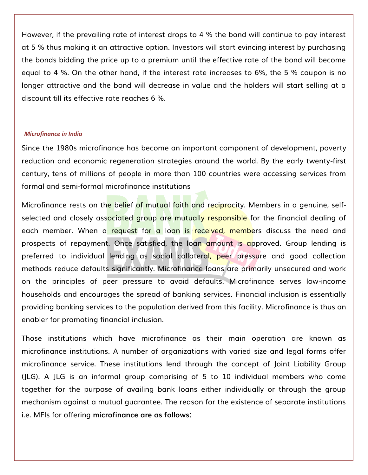However, if the prevailing rate of interest drops to 4 % the bond will continue to pay interest at 5 % thus making it an attractive option. Investors will start evincing interest by purchasing the bonds bidding the price up to a premium until the effective rate of the bond will become equal to 4 %. On the other hand, if the interest rate increases to 6%, the 5 % coupon is no longer attractive and the bond will decrease in value and the holders will start selling at a discount till its effective rate reaches 6 %.

### *Microfinance in India*

Since the 1980s microfinance has become an important component of development, poverty reduction and economic regeneration strategies around the world. By the early twenty-first century, tens of millions of people in more than 100 countries were accessing services from formal and semi-formal microfinance institutions

Microfinance rests on the belief of mutual faith and reciprocity. Members in a genuine, selfselected and closely associated group are mutually responsible for the financial dealing of each member. When a request for a loan is received, members discuss the need and prospects of repayment. Once satisfied, the loan amount is approved. Group lending is preferred to individual lending as social collateral, peer pressure and good collection methods reduce defaults significantly. Microfinance loans are primarily unsecured and work on the principles of peer pressure to avoid defaults. Microfinance serves low-income households and encourages the spread of banking services. Financial inclusion is essentially providing banking services to the population derived from this facility. Microfinance is thus an enabler for promoting financial inclusion.

Those institutions which have microfinance as their main operation are known as microfinance institutions. A number of organizations with varied size and legal forms offer microfinance service. These institutions lend through the concept of Joint Liability Group (JLG). A JLG is an informal group comprising of 5 to 10 individual members who come together for the purpose of availing bank loans either individually or through the group mechanism against a mutual guarantee. The reason for the existence of separate institutions i.e. MFIs for offering **microfinance are as follows:**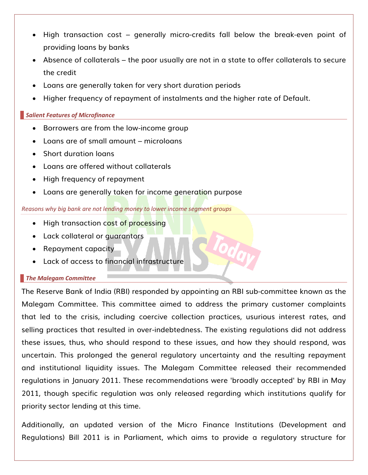- High transaction cost generally micro-credits fall below the break-even point of providing loans by banks
- Absence of collaterals the poor usually are not in a state to offer collaterals to secure the credit
- Loans are generally taken for very short duration periods
- Higher frequency of repayment of instalments and the higher rate of Default.

### *Salient Features of Microfinance*

- Borrowers are from the low-income group
- Loans are of small amount microloans
- Short duration loans
- Loans are offered without collaterals
- High frequency of repayment
- Loans are generally taken for income generation purpose

#### *Reasons why big bank are not lending money to lower income segment groups*

- High transaction cost of processing
- Lack collateral or quarantors
- Repayment capacity
- Lack of access to financial infrastructure

## *The Malegam Committee*

The Reserve Bank of India (RBI) responded by appointing an RBI sub-committee known as the Malegam Committee. This committee aimed to address the primary customer complaints that led to the crisis, including coercive collection practices, usurious interest rates, and selling practices that resulted in over-indebtedness. The existing regulations did not address these issues, thus, who should respond to these issues, and how they should respond, was uncertain. This prolonged the general regulatory uncertainty and the resulting repayment and institutional liquidity issues. The Malegam Committee released their recommended regulations in January 2011. These recommendations were 'broadly accepted' by RBI in May 2011, though specific regulation was only released regarding which institutions qualify for priority sector lending at this time.

Additionally, an updated version of the Micro Finance Institutions (Development and Regulations) Bill 2011 is in Parliament, which aims to provide a regulatory structure for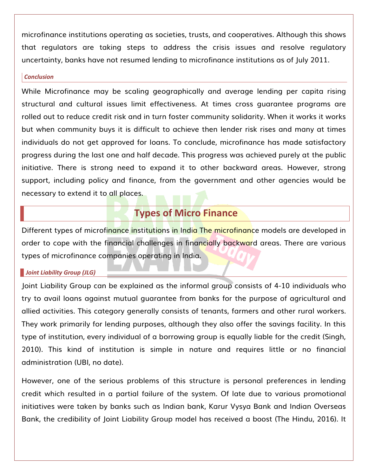microfinance institutions operating as societies, trusts, and cooperatives. Although this shows that regulators are taking steps to address the crisis issues and resolve regulatory uncertainty, banks have not resumed lending to microfinance institutions as of July 2011.

#### *Conclusion*

While Microfinance may be scaling geographically and average lending per capita rising structural and cultural issues limit effectiveness. At times cross guarantee programs are rolled out to reduce credit risk and in turn foster community solidarity. When it works it works but when community buys it is difficult to achieve then lender risk rises and many at times individuals do not get approved for loans. To conclude, microfinance has made satisfactory progress during the last one and half decade. This progress was achieved purely at the public initiative. There is strong need to expand it to other backward areas. However, strong support, including policy and finance, from the government and other agencies would be necessary to extend it to all places.

## **Types of Micro Finance**

Different types of microfinance institutions in India The microfinance models are developed in order to cope with the financial challenges in financially backward areas. There are various types of microfinance companies operating in India.

#### *Joint Liability Group (JLG)*

Joint Liability Group can be explained as the informal group consists of 4-10 individuals who try to avail loans against mutual guarantee from banks for the purpose of agricultural and allied activities. This category generally consists of tenants, farmers and other rural workers. They work primarily for lending purposes, although they also offer the savings facility. In this type of institution, every individual of a borrowing group is equally liable for the credit (Singh, 2010). This kind of institution is simple in nature and requires little or no financial administration (UBI, no date).

However, one of the serious problems of this structure is personal preferences in lending credit which resulted in a partial failure of the system. Of late due to various promotional initiatives were taken by banks such as Indian bank, Karur Vysya Bank and Indian Overseas Bank, the credibility of Joint Liability Group model has received a boost (The Hindu, 2016). It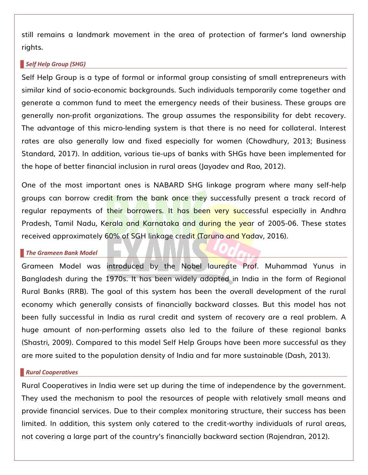still remains a landmark movement in the area of protection of farmer's land ownership rights.

#### *Self Help Group (SHG)*

Self Help Group is a type of formal or informal group consisting of small entrepreneurs with similar kind of socio-economic backgrounds. Such individuals temporarily come together and generate a common fund to meet the emergency needs of their business. These groups are generally non-profit organizations. The group assumes the responsibility for debt recovery. The advantage of this micro-lending system is that there is no need for collateral. Interest rates are also generally low and fixed especially for women (Chowdhury, 2013; Business Standard, 2017). In addition, various tie-ups of banks with SHGs have been implemented for the hope of better financial inclusion in rural areas (Jayadev and Rao, 2012).

One of the most important ones is NABARD SHG linkage program where many self-help groups can borrow credit from the bank once they successfully present a track record of regular repayments of their borrowers. It has been very successful especially in Andhra Pradesh, Tamil Nadu, Kerala and Karnataka and during the year of 2005-06. These states received approximately 60% of SGH linkage credit (Taruna and Yadav, 2016).

#### *The Grameen Bank Model*

Grameen Model was introduced by the Nobel laureate Prof. Muhammad Yunus in Bangladesh during the 1970s. It has been widely adopted in India in the form of Regional Rural Banks (RRB). The goal of this system has been the overall development of the rural economy which generally consists of financially backward classes. But this model has not been fully successful in India as rural credit and system of recovery are a real problem. A huge amount of non-performing assets also led to the failure of these regional banks (Shastri, 2009). Compared to this model Self Help Groups have been more successful as they are more suited to the population density of India and far more sustainable (Dash, 2013).

#### *Rural Cooperatives*

Rural Cooperatives in India were set up during the time of independence by the government. They used the mechanism to pool the resources of people with relatively small means and provide financial services. Due to their complex monitoring structure, their success has been limited. In addition, this system only catered to the credit-worthy individuals of rural areas, not covering a large part of the country's financially backward section (Rajendran, 2012).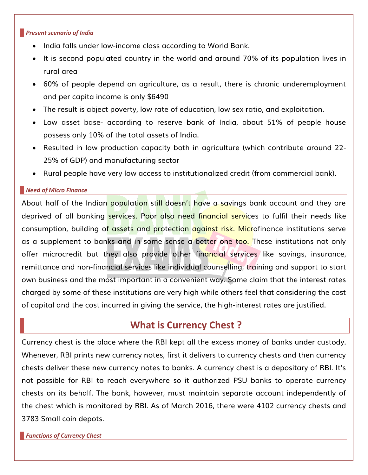#### *Present scenario of India*

- India falls under low-income class according to World Bank.
- It is second populated country in the world and around 70% of its population lives in rural area
- 60% of people depend on agriculture, as a result, there is chronic underemployment and per capita income is only \$6490
- The result is abject poverty, low rate of education, low sex ratio, and exploitation.
- Low asset base- according to reserve bank of India, about 51% of people house possess only 10% of the total assets of India.
- Resulted in low production capacity both in agriculture (which contribute around 22- 25% of GDP) and manufacturing sector
- Rural people have very low access to institutionalized credit (from commercial bank).

#### *Need of Micro Finance*

About half of the Indian population still doesn't have a savings bank account and they are deprived of all banking services. Poor also need financial services to fulfil their needs like consumption, building of assets and protection against risk. Microfinance institutions serve as a supplement to banks and in some sense a better one too. These institutions not only offer microcredit but they also provide other financial services like savings, insurance, remittance and non-financial services like individual counselling, training and support to start own business and the most important in a convenient way. Some claim that the interest rates charged by some of these institutions are very high while others feel that considering the cost of capital and the cost incurred in giving the service, the high-interest rates are justified.

## **What is Currency Chest ?**

Currency chest is the place where the RBI kept all the excess money of banks under custody. Whenever, RBI prints new currency notes, first it delivers to currency chests and then currency chests deliver these new currency notes to banks. A currency chest is a depositary of RBI. It's not possible for RBI to reach everywhere so it authorized PSU banks to operate currency chests on its behalf. The bank, however, must maintain separate account independently of the chest which is monitored by RBI. As of March 2016, there were 4102 currency chests and 3783 Small coin depots.

*Functions of Currency Chest*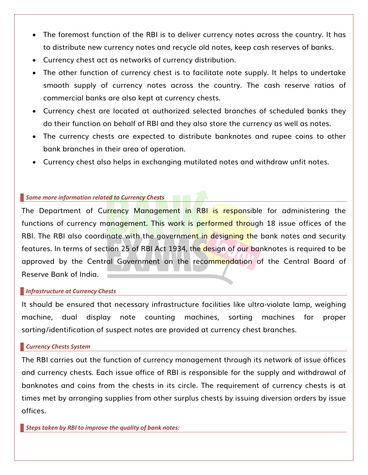- The foremost function of the RBI is to deliver currency notes across the country. It has to distribute new currency notes and recycle old notes, keep cash reserves of banks.
- Currency chest act as networks of currency distribution.
- The other function of currency chest is to facilitate note supply. It helps to undertake smooth supply of currency notes across the country. The cash reserve ratios of commercial banks are also kept at currency chests.
- Currency chest are located at authorized selected branches of scheduled banks they do their function on behalf of RBI and they also store the currency as well as notes.
- The currency chests are expected to distribute banknotes and rupee coins to other bank branches in their area of operation.
- Currency chest also helps in exchanging mutilated notes and withdraw unfit notes.

### *Some more information related to Currency Chests*

The Department of Currency Management in RBI is responsible for administering the functions of currency management. This work is performed through 18 issue offices of the RBI. The RBI also coordinate with the government in designing the bank notes and security features. In terms of section 25 of RBI Act 1934, the design of our banknotes is required to be approved by the Central Government on the recommendation of the Central Board of Reserve Bank of India.

### *Infrastructure at Currency Chests*

It should be ensured that necessary infrastructure facilities like ultra-violate lamp, weighing machine, dual display note counting machines, sorting machines for proper sorting/identification of suspect notes are provided at currency chest branches.

## *Currency Chests System*

The RBI carries out the function of currency management through its network of issue offices and currency chests. Each issue office of RBI is responsible for the supply and withdrawal of banknotes and coins from the chests in its circle. The requirement of currency chests is at times met by arranging supplies from other surplus chests by issuing diversion orders by issue offices.

*Steps taken by RBI to improve the quality of bank notes:*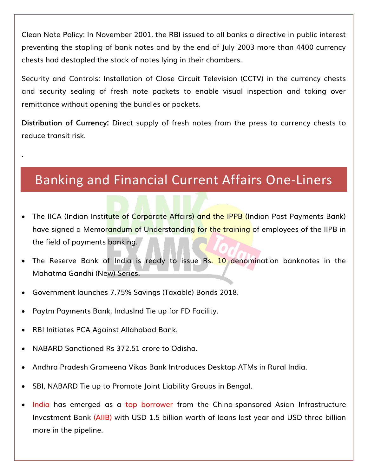Clean Note Policy: In November 2001, the RBI issued to all banks a directive in public interest preventing the stapling of bank notes and by the end of July 2003 more than 4400 currency chests had destapled the stock of notes lying in their chambers.

Security and Controls: Installation of Close Circuit Television (CCTV) in the currency chests and security sealing of fresh note packets to enable visual inspection and taking over remittance without opening the bundles or packets.

**Distribution of Currency:** Direct supply of fresh notes from the press to currency chests to reduce transit risk.

# Banking and Financial Current Affairs One-Liners

- The IICA (Indian Institute of Corporate Affairs) and the IPPB (Indian Post Payments Bank) have signed a Memorandum of Understanding for the training of employees of the IIPB in the field of payments banking.
- The Reserve Bank of India is ready to issue Rs. 10 denomination banknotes in the Mahatma Gandhi (New) Series.
- Government launches 7.75% Savings (Taxable) Bonds 2018.
- Paytm Payments Bank, IndusInd Tie up for FD Facility.
- RBI Initiates PCA Against Allahabad Bank.

.

- NABARD Sanctioned Rs 372.51 crore to Odisha.
- Andhra Pradesh Grameena Vikas Bank Introduces Desktop ATMs in Rural India.
- SBI, NABARD Tie up to Promote Joint Liability Groups in Bengal.
- India has emerged as a top borrower from the China-sponsored Asian Infrastructure Investment Bank (AIIB) with USD 1.5 billion worth of loans last year and USD three billion more in the pipeline.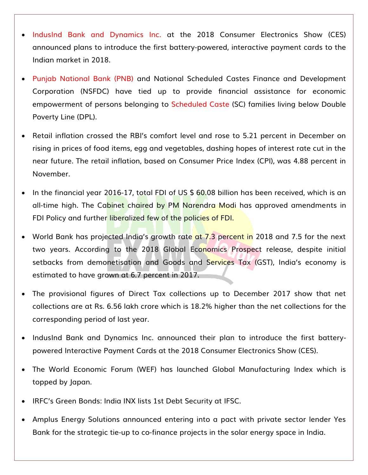- IndusInd Bank and Dynamics Inc. at the 2018 Consumer Electronics Show (CES) announced plans to introduce the first battery-powered, interactive payment cards to the Indian market in 2018.
- Punjab National Bank (PNB) and National Scheduled Castes Finance and Development Corporation (NSFDC) have tied up to provide financial assistance for economic empowerment of persons belonging to Scheduled Caste (SC) families living below Double Poverty Line (DPL).
- Retail inflation crossed the RBI's comfort level and rose to 5.21 percent in December on rising in prices of food items, egg and vegetables, dashing hopes of interest rate cut in the near future. The retail inflation, based on Consumer Price Index (CPI), was 4.88 percent in November.
- In the financial year 2016-17, total FDI of US \$ 60.08 billion has been received, which is an all-time high. The Cabinet chaired by PM Narendra Modi has approved amendments in FDI Policy and further liberalized few of the policies of FDI.
- World Bank has projected India's growth rate at 7.3 percent in 2018 and 7.5 for the next two years. According to the 2018 Global Economics Prospect release, despite initial setbacks from demonetisation and Goods and Services Tax (GST), India's economy is estimated to have grown at 6.7 percent in 2017.
- The provisional figures of Direct Tax collections up to December 2017 show that net collections are at Rs. 6.56 lakh crore which is 18.2% higher than the net collections for the corresponding period of last year.
- IndusInd Bank and Dynamics Inc. announced their plan to introduce the first batterypowered Interactive Payment Cards at the 2018 Consumer Electronics Show (CES).
- The World Economic Forum (WEF) has launched Global Manufacturing Index which is topped by Japan.
- IRFC's Green Bonds: India INX lists 1st Debt Security at IFSC.
- Amplus Energy Solutions announced entering into a pact with private sector lender Yes Bank for the strategic tie-up to co-finance projects in the solar energy space in India.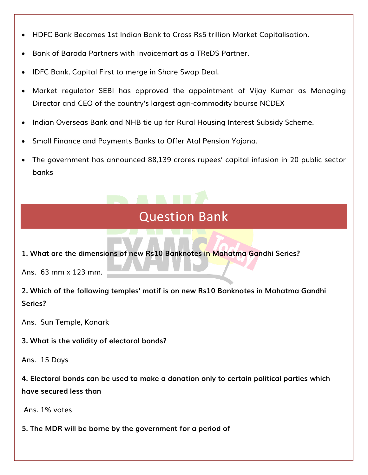- HDFC Bank Becomes 1st Indian Bank to Cross Rs5 trillion Market Capitalisation.
- Bank of Baroda Partners with Invoicemart as a TReDS Partner.
- IDFC Bank, Capital First to merge in Share Swap Deal.
- Market regulator SEBI has approved the appointment of Vijay Kumar as Managing Director and CEO of the country's largest agri-commodity bourse NCDEX
- Indian Overseas Bank and NHB tie up for Rural Housing Interest Subsidy Scheme.
- Small Finance and Payments Banks to Offer Atal Pension Yojana.
- The government has announced 88,139 crores rupees' capital infusion in 20 public sector banks

# Question Bank

**1. What are the dimensions of new Rs10 Banknotes in Mahatma Gandhi Series?**

Ans. 63 mm x 123 mm.

**2. Which of the following temples' motif is on new Rs10 Banknotes in Mahatma Gandhi Series?**

Ans. Sun Temple, Konark

**3. What is the validity of electoral bonds?**

Ans. 15 Days

**4. Electoral bonds can be used to make a donation only to certain political parties which have secured less than**

Ans. 1% votes

**5. The MDR will be borne by the government for a period of**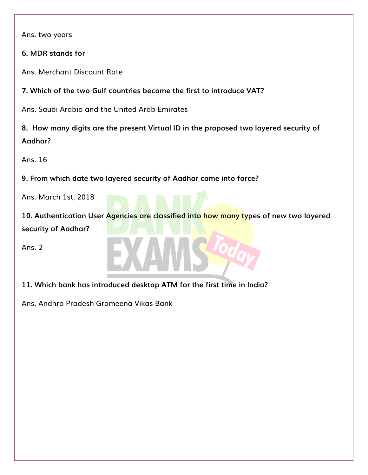Ans. two years

**6. MDR stands for**

Ans. Merchant Discount Rate

**7. Which of the two Gulf countries become the first to introduce VAT?**

Ans. Saudi Arabia and the United Arab Emirates

**8. How many digits are the present Virtual ID in the proposed two layered security of Aadhar?**

Ans. 16

**9. From which date two layered security of Aadhar came into force?**

Ans. March 1st, 2018

**10. Authentication User Agencies are classified into how many types of new two layered security of Aadhar?**

Ans. 2

**11. Which bank has introduced desktop ATM for the first time in India?** 

Ans. Andhra Pradesh Grameena Vikas Bank